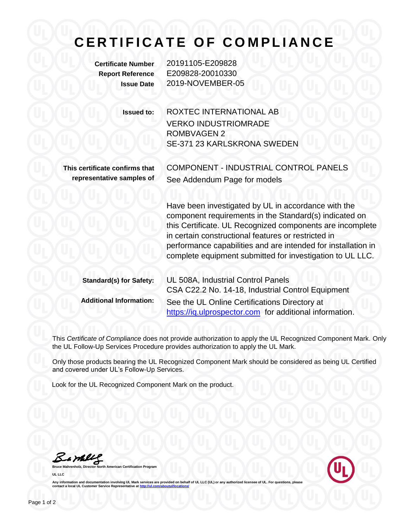## **C E R T I F I C A T E O F C O M P L I A N C E**

**Certificate Number** 20191105-E209828 **Report Reference** E209828-20010330 **Issue Date** 2019-NOVEMBER-05

> **Issued to:** ROXTEC INTERNATIONAL AB VERKO INDUSTRIOMRADE ROMBVAGEN 2 SE-371 23 KARLSKRONA SWEDEN

**This certificate confirms that representative samples of** COMPONENT - INDUSTRIAL CONTROL PANELS See Addendum Page for models

Have been investigated by UL in accordance with the component requirements in the Standard(s) indicated on this Certificate. UL Recognized components are incomplete in certain constructional features or restricted in performance capabilities and are intended for installation in complete equipment submitted for investigation to UL LLC.

| <b>Standard(s) for Safety:</b> | UL 508A, Industrial Control Panels                      |
|--------------------------------|---------------------------------------------------------|
|                                | CSA C22.2 No. 14-18, Industrial Control Equipment       |
| <b>Additional Information:</b> | See the UL Online Certifications Directory at           |
|                                | https://iq.ulprospector.com for additional information. |

This *Certificate of Compliance* does not provide authorization to apply the UL Recognized Component Mark. Only the UL Follow-Up Services Procedure provides authorization to apply the UL Mark.

Only those products bearing the UL Recognized Component Mark should be considered as being UL Certified and covered under UL's Follow-Up Services.

Look for the UL Recognized Component Mark on the product.

Bample

**Bruce Mahrenholz, Director North American Certification Program UL LLC**



Any information and documentation involving UL Mark services are provided on behalf of UL LLC (UL) or any authorized licensee of UL. For questions, please<br>contact a local UL Customer Service Representative at <u>http://ul.co</u>